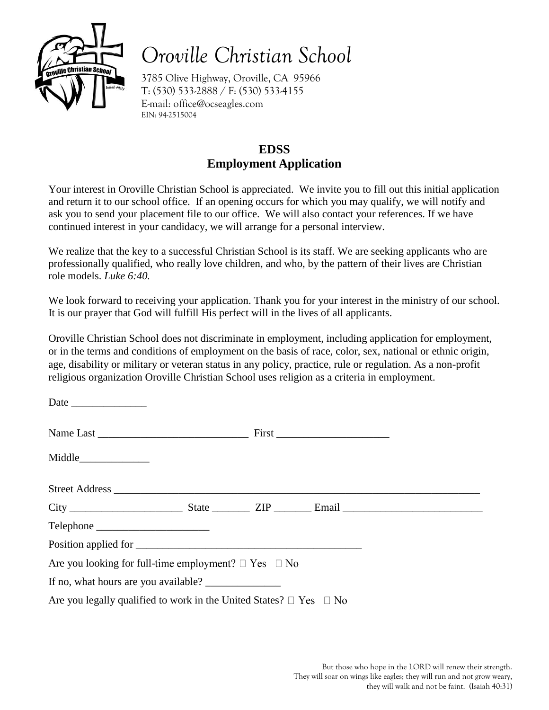

## *Oroville Christian School*

3785 Olive Highway, Oroville, CA 95966 T: (530) 533-2888 / F: (530) 533-4155 E-mail: office@ocseagles.com EIN: 94-2515004

## **EDSS Employment Application**

Your interest in Oroville Christian School is appreciated. We invite you to fill out this initial application and return it to our school office. If an opening occurs for which you may qualify, we will notify and ask you to send your placement file to our office. We will also contact your references. If we have continued interest in your candidacy, we will arrange for a personal interview.

We realize that the key to a successful Christian School is its staff. We are seeking applicants who are professionally qualified, who really love children, and who, by the pattern of their lives are Christian role models. *Luke 6:40.*

We look forward to receiving your application. Thank you for your interest in the ministry of our school. It is our prayer that God will fulfill His perfect will in the lives of all applicants.

Oroville Christian School does not discriminate in employment, including application for employment, or in the terms and conditions of employment on the basis of race, color, sex, national or ethnic origin, age, disability or military or veteran status in any policy, practice, rule or regulation. As a non-profit religious organization Oroville Christian School uses religion as a criteria in employment.

| Are you looking for full-time employment? $\Box$ Yes $\Box$ No               |  |  |
|------------------------------------------------------------------------------|--|--|
|                                                                              |  |  |
| Are you legally qualified to work in the United States? $\Box$ Yes $\Box$ No |  |  |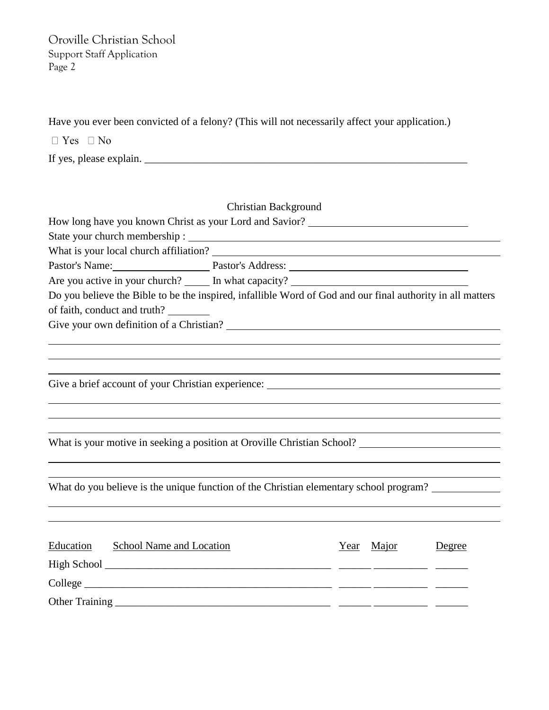Have you ever been convicted of a felony? (This will not necessarily affect your application.)

 $\Box$  Yes  $\Box$  No

If yes, please explain.

How long have you known Christ as your Lord and Savior? State your church membership : What is your local church affiliation? Pastor's Name: Pastor's Address: 2008. Pastor's Address: 2008. Pastor's Address: 2008. Pastor's Address: 2008. Pastor's Address: 2008. Pastor's Address: 2008. Pastor's Address: 2008. Pastor's Address: 2008. Pastor: 2008. P Are you active in your church? In what capacity? Do you believe the Bible to be the inspired, infallible Word of God and our final authority in all matters of faith, conduct and truth? Give your own definition of a Christian?

Give a brief account of your Christian experience:

What is your motive in seeking a position at Oroville Christian School?

What do you believe is the unique function of the Christian elementary school program?

| Education | School Name and Location | Year Major | Degree |
|-----------|--------------------------|------------|--------|
|           |                          |            |        |
|           | $\text{Collect}$         |            |        |
|           |                          |            |        |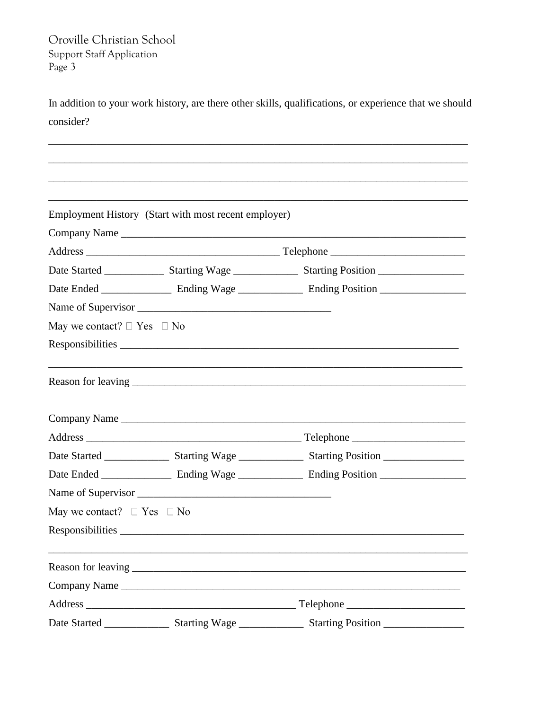In addition to your work history, are there other skills, qualifications, or experience that we should consider?

|                                      | Employment History (Start with most recent employer) |  |  |
|--------------------------------------|------------------------------------------------------|--|--|
|                                      | Company Name                                         |  |  |
|                                      |                                                      |  |  |
|                                      |                                                      |  |  |
|                                      |                                                      |  |  |
|                                      |                                                      |  |  |
| May we contact? $\Box$ Yes $\Box$ No |                                                      |  |  |
|                                      | Responsibilities                                     |  |  |
|                                      |                                                      |  |  |
|                                      | Company Name                                         |  |  |
|                                      |                                                      |  |  |
|                                      |                                                      |  |  |
|                                      |                                                      |  |  |
|                                      |                                                      |  |  |
| May we contact? $\Box$ Yes $\Box$ No |                                                      |  |  |
|                                      |                                                      |  |  |
|                                      |                                                      |  |  |
|                                      | Company Name                                         |  |  |
|                                      |                                                      |  |  |
|                                      |                                                      |  |  |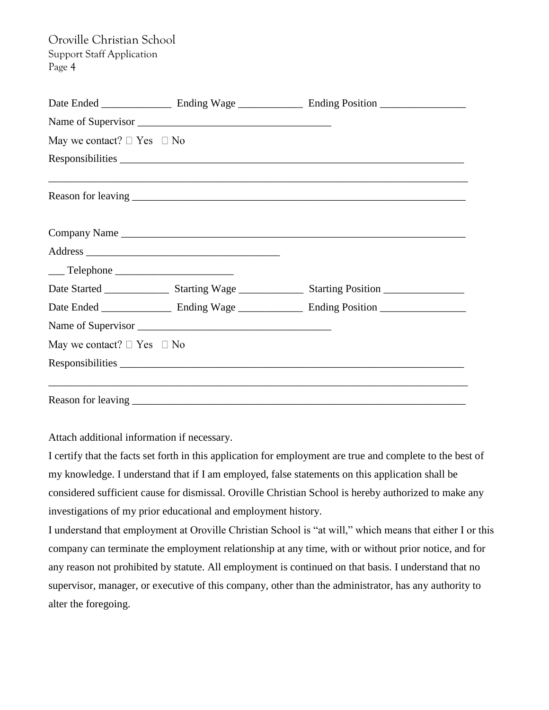|                                                                                                                                                                                                                                                                                                                                                                                                                      | Name of Supervisor |                                                                                   |
|----------------------------------------------------------------------------------------------------------------------------------------------------------------------------------------------------------------------------------------------------------------------------------------------------------------------------------------------------------------------------------------------------------------------|--------------------|-----------------------------------------------------------------------------------|
| May we contact? $\Box$ Yes $\Box$ No                                                                                                                                                                                                                                                                                                                                                                                 |                    |                                                                                   |
|                                                                                                                                                                                                                                                                                                                                                                                                                      |                    | Responsibilities                                                                  |
|                                                                                                                                                                                                                                                                                                                                                                                                                      |                    | ,我们也不能在这里的时候,我们也不能在这里的时候,我们也不能会在这里的时候,我们也不能会在这里的时候,我们也不能会在这里的时候,我们也不能会在这里的时候,我们也不 |
|                                                                                                                                                                                                                                                                                                                                                                                                                      |                    |                                                                                   |
|                                                                                                                                                                                                                                                                                                                                                                                                                      |                    |                                                                                   |
| $\frac{1}{\sqrt{1-\frac{1}{2}}\sqrt{1-\frac{1}{2}}\sqrt{1-\frac{1}{2}}\sqrt{1-\frac{1}{2}}\sqrt{1-\frac{1}{2}}\sqrt{1-\frac{1}{2}}\sqrt{1-\frac{1}{2}}\sqrt{1-\frac{1}{2}}\sqrt{1-\frac{1}{2}}\sqrt{1-\frac{1}{2}}\sqrt{1-\frac{1}{2}}\sqrt{1-\frac{1}{2}}\sqrt{1-\frac{1}{2}}\sqrt{1-\frac{1}{2}}\sqrt{1-\frac{1}{2}}\sqrt{1-\frac{1}{2}}\sqrt{1-\frac{1}{2}}\sqrt{1-\frac{1}{2}}\sqrt{1-\frac{1}{2}}\sqrt{1-\frac$ |                    |                                                                                   |
|                                                                                                                                                                                                                                                                                                                                                                                                                      |                    |                                                                                   |
|                                                                                                                                                                                                                                                                                                                                                                                                                      |                    |                                                                                   |
|                                                                                                                                                                                                                                                                                                                                                                                                                      |                    |                                                                                   |
| May we contact? $\Box$ Yes $\Box$ No                                                                                                                                                                                                                                                                                                                                                                                 |                    |                                                                                   |
|                                                                                                                                                                                                                                                                                                                                                                                                                      |                    |                                                                                   |
|                                                                                                                                                                                                                                                                                                                                                                                                                      |                    |                                                                                   |

Attach additional information if necessary.

I certify that the facts set forth in this application for employment are true and complete to the best of my knowledge. I understand that if I am employed, false statements on this application shall be considered sufficient cause for dismissal. Oroville Christian School is hereby authorized to make any investigations of my prior educational and employment history.

I understand that employment at Oroville Christian School is "at will," which means that either I or this company can terminate the employment relationship at any time, with or without prior notice, and for any reason not prohibited by statute. All employment is continued on that basis. I understand that no supervisor, manager, or executive of this company, other than the administrator, has any authority to alter the foregoing.